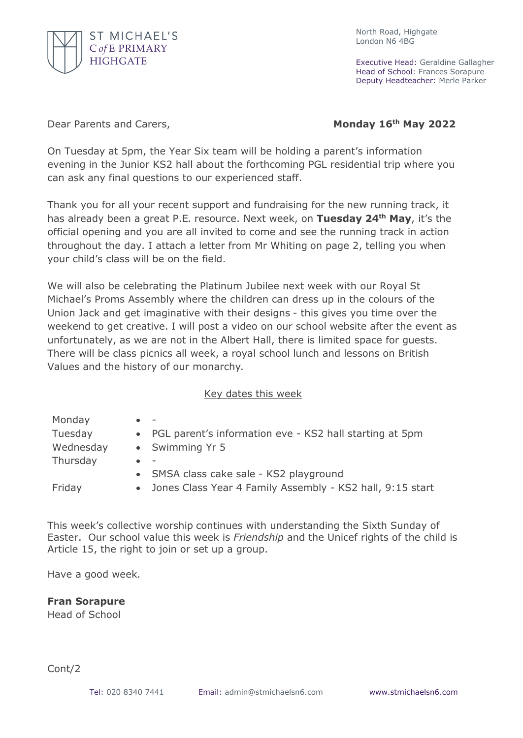

North Road, Highgate London N6 4BG

Executive Head: Geraldine Gallagher Head of School: Frances Sorapure Deputy Headteacher: Merle Parker

Dear Parents and Carers, **Monday 16th May 2022**

On Tuesday at 5pm, the Year Six team will be holding a parent's information evening in the Junior KS2 hall about the forthcoming PGL residential trip where you can ask any final questions to our experienced staff.

Thank you for all your recent support and fundraising for the new running track, it has already been a great P.E. resource. Next week, on **Tuesday 24th May**, it's the official opening and you are all invited to come and see the running track in action throughout the day. I attach a letter from Mr Whiting on page 2, telling you when your child's class will be on the field.

We will also be celebrating the Platinum Jubilee next week with our Royal St Michael's Proms Assembly where the children can dress up in the colours of the Union Jack and get imaginative with their designs - this gives you time over the weekend to get creative. I will post a video on our school website after the event as unfortunately, as we are not in the Albert Hall, there is limited space for guests. There will be class picnics all week, a royal school lunch and lessons on British Values and the history of our monarchy.

## Key dates this week

| $\sim$                                                      |
|-------------------------------------------------------------|
| • PGL parent's information eve - KS2 hall starting at 5pm   |
| • Swimming Yr 5                                             |
| $\sim$                                                      |
| • SMSA class cake sale - KS2 playground                     |
| • Jones Class Year 4 Family Assembly - KS2 hall, 9:15 start |
|                                                             |

This week's collective worship continues with understanding the Sixth Sunday of Easter. Our school value this week is *Friendship* and the Unicef rights of the child is Article 15, the right to join or set up a group.

Have a good week.

# **Fran Sorapure**

Head of School

Cont/2